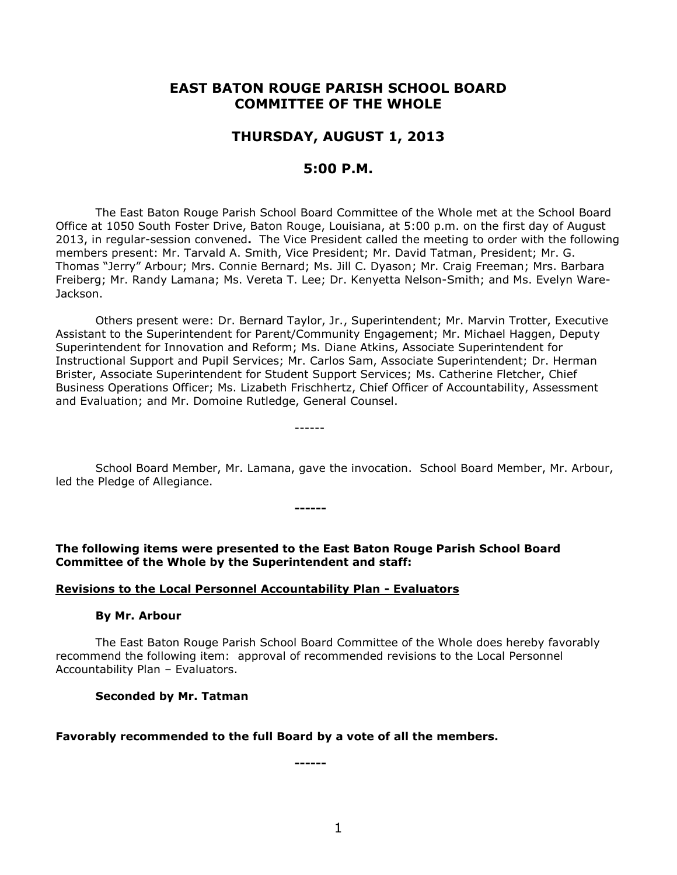# **EAST BATON ROUGE PARISH SCHOOL BOARD COMMITTEE OF THE WHOLE**

# **THURSDAY, AUGUST 1, 2013**

# **5:00 P.M.**

The East Baton Rouge Parish School Board Committee of the Whole met at the School Board Office at 1050 South Foster Drive, Baton Rouge, Louisiana, at 5:00 p.m. on the first day of August 2013, in regular-session convened**.** The Vice President called the meeting to order with the following members present: Mr. Tarvald A. Smith, Vice President; Mr. David Tatman, President; Mr. G. Thomas "Jerry" Arbour; Mrs. Connie Bernard; Ms. Jill C. Dyason; Mr. Craig Freeman; Mrs. Barbara Freiberg; Mr. Randy Lamana; Ms. Vereta T. Lee; Dr. Kenyetta Nelson-Smith; and Ms. Evelyn Ware-Jackson.

Others present were: Dr. Bernard Taylor, Jr., Superintendent; Mr. Marvin Trotter, Executive Assistant to the Superintendent for Parent/Community Engagement; Mr. Michael Haggen, Deputy Superintendent for Innovation and Reform; Ms. Diane Atkins, Associate Superintendent for Instructional Support and Pupil Services; Mr. Carlos Sam, Associate Superintendent; Dr. Herman Brister, Associate Superintendent for Student Support Services; Ms. Catherine Fletcher, Chief Business Operations Officer; Ms. Lizabeth Frischhertz, Chief Officer of Accountability, Assessment and Evaluation; and Mr. Domoine Rutledge, General Counsel.

School Board Member, Mr. Lamana, gave the invocation. School Board Member, Mr. Arbour, led the Pledge of Allegiance.

**The following items were presented to the East Baton Rouge Parish School Board Committee of the Whole by the Superintendent and staff:**

**------**

------

### **Revisions to the Local Personnel Accountability Plan - Evaluators**

#### **By Mr. Arbour**

The East Baton Rouge Parish School Board Committee of the Whole does hereby favorably recommend the following item: approval of recommended revisions to the Local Personnel Accountability Plan – Evaluators.

### **Seconded by Mr. Tatman**

#### **Favorably recommended to the full Board by a vote of all the members.**

**------**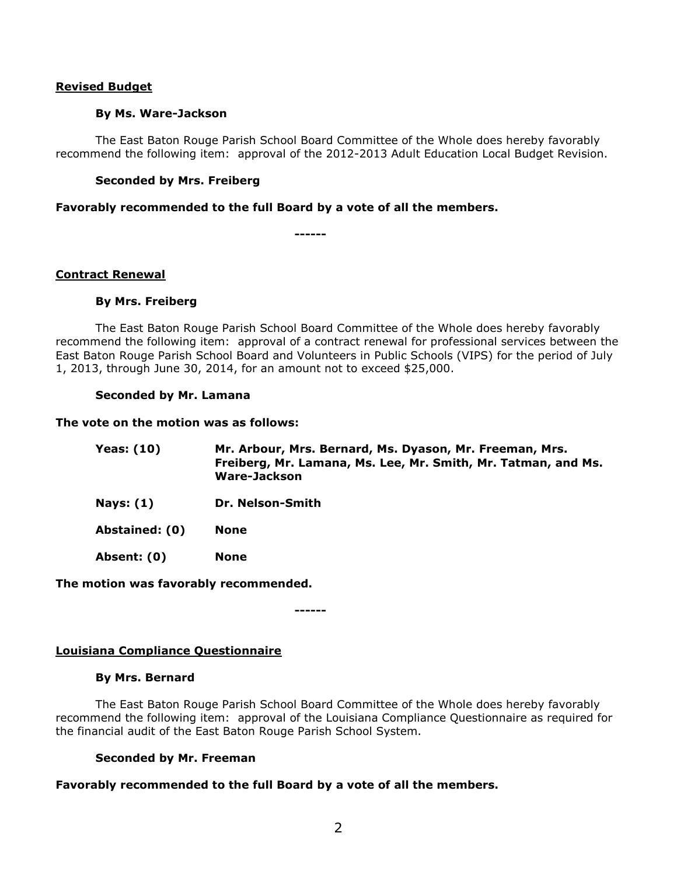## **Revised Budget**

## **By Ms. Ware-Jackson**

The East Baton Rouge Parish School Board Committee of the Whole does hereby favorably recommend the following item: approval of the 2012-2013 Adult Education Local Budget Revision.

## **Seconded by Mrs. Freiberg**

**Favorably recommended to the full Board by a vote of all the members.**

**------**

## **Contract Renewal**

## **By Mrs. Freiberg**

The East Baton Rouge Parish School Board Committee of the Whole does hereby favorably recommend the following item: approval of a contract renewal for professional services between the East Baton Rouge Parish School Board and Volunteers in Public Schools (VIPS) for the period of July 1, 2013, through June 30, 2014, for an amount not to exceed \$25,000.

## **Seconded by Mr. Lamana**

**The vote on the motion was as follows:**

| <b>Yeas: (10)</b> | Mr. Arbour, Mrs. Bernard, Ms. Dyason, Mr. Freeman, Mrs.<br>Freiberg, Mr. Lamana, Ms. Lee, Mr. Smith, Mr. Tatman, and Ms.<br>Ware-Jackson |
|-------------------|------------------------------------------------------------------------------------------------------------------------------------------|
| Nays: $(1)$       | Dr. Nelson-Smith                                                                                                                         |
| Abstained: (0)    | <b>None</b>                                                                                                                              |
| Absent: (0)       | <b>None</b>                                                                                                                              |

**The motion was favorably recommended.**

**------**

# **Louisiana Compliance Questionnaire**

### **By Mrs. Bernard**

The East Baton Rouge Parish School Board Committee of the Whole does hereby favorably recommend the following item: approval of the Louisiana Compliance Questionnaire as required for the financial audit of the East Baton Rouge Parish School System.

# **Seconded by Mr. Freeman**

# **Favorably recommended to the full Board by a vote of all the members.**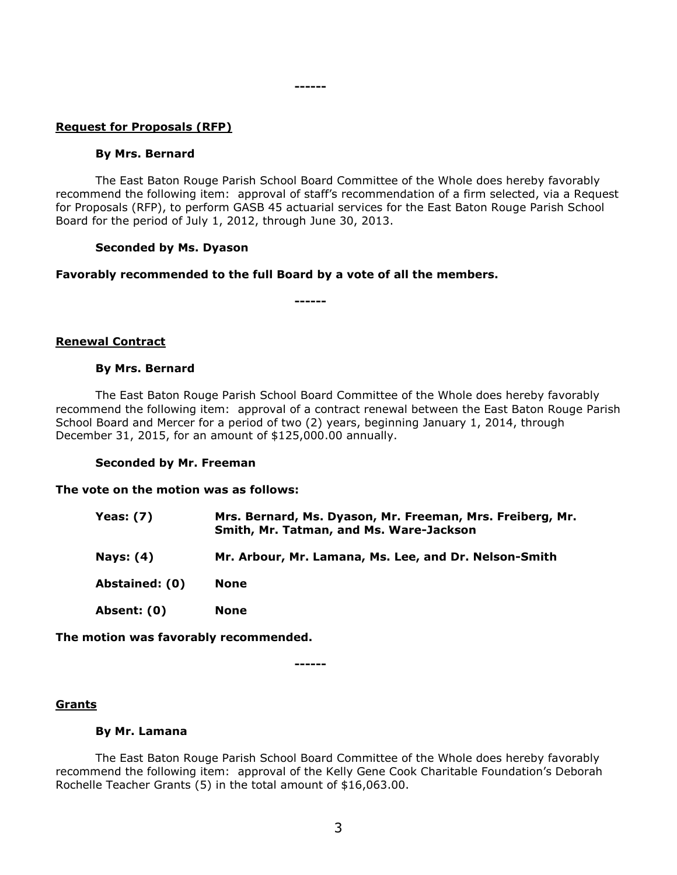## **Request for Proposals (RFP)**

#### **By Mrs. Bernard**

The East Baton Rouge Parish School Board Committee of the Whole does hereby favorably recommend the following item: approval of staff's recommendation of a firm selected, via a Request for Proposals (RFP), to perform GASB 45 actuarial services for the East Baton Rouge Parish School Board for the period of July 1, 2012, through June 30, 2013.

#### **Seconded by Ms. Dyason**

### **Favorably recommended to the full Board by a vote of all the members.**

**------**

**------**

#### **Renewal Contract**

#### **By Mrs. Bernard**

The East Baton Rouge Parish School Board Committee of the Whole does hereby favorably recommend the following item: approval of a contract renewal between the East Baton Rouge Parish School Board and Mercer for a period of two (2) years, beginning January 1, 2014, through December 31, 2015, for an amount of \$125,000.00 annually.

#### **Seconded by Mr. Freeman**

#### **The vote on the motion was as follows:**

| Yeas: (7)      | Mrs. Bernard, Ms. Dyason, Mr. Freeman, Mrs. Freiberg, Mr.<br>Smith, Mr. Tatman, and Ms. Ware-Jackson |
|----------------|------------------------------------------------------------------------------------------------------|
| Nays: (4)      | Mr. Arbour, Mr. Lamana, Ms. Lee, and Dr. Nelson-Smith                                                |
| Abstained: (0) | None                                                                                                 |
| Absent: (0)    | None                                                                                                 |

**The motion was favorably recommended.**

# **Grants**

#### **By Mr. Lamana**

The East Baton Rouge Parish School Board Committee of the Whole does hereby favorably recommend the following item: approval of the Kelly Gene Cook Charitable Foundation's Deborah Rochelle Teacher Grants (5) in the total amount of \$16,063.00.

**------**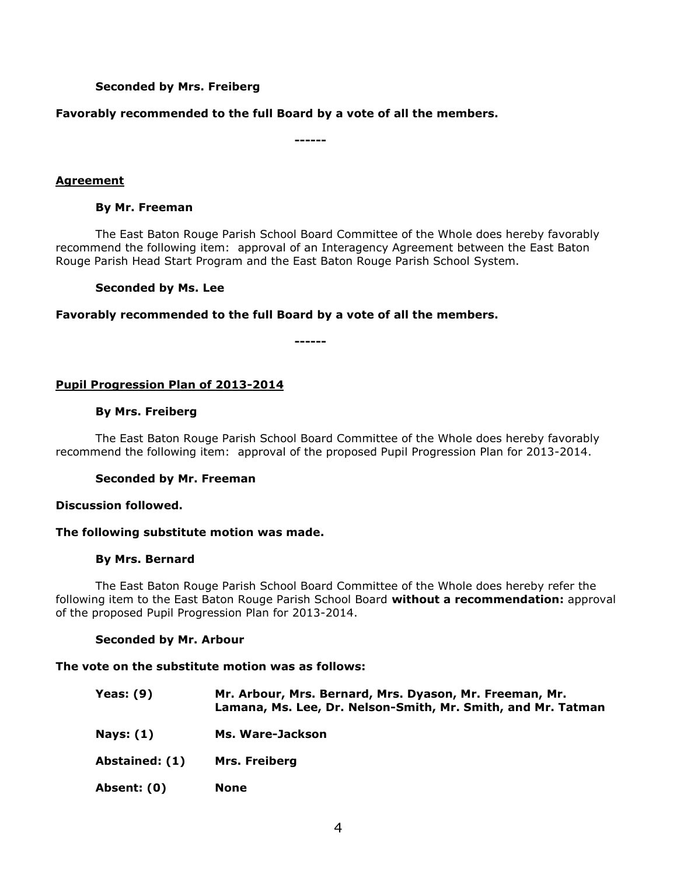# **Seconded by Mrs. Freiberg**

# **Favorably recommended to the full Board by a vote of all the members.**

**------**

# **Agreement**

## **By Mr. Freeman**

The East Baton Rouge Parish School Board Committee of the Whole does hereby favorably recommend the following item: approval of an Interagency Agreement between the East Baton Rouge Parish Head Start Program and the East Baton Rouge Parish School System.

## **Seconded by Ms. Lee**

**Favorably recommended to the full Board by a vote of all the members.**

**------**

# **Pupil Progression Plan of 2013-2014**

### **By Mrs. Freiberg**

The East Baton Rouge Parish School Board Committee of the Whole does hereby favorably recommend the following item: approval of the proposed Pupil Progression Plan for 2013-2014.

### **Seconded by Mr. Freeman**

### **Discussion followed.**

# **The following substitute motion was made.**

### **By Mrs. Bernard**

The East Baton Rouge Parish School Board Committee of the Whole does hereby refer the following item to the East Baton Rouge Parish School Board **without a recommendation:** approval of the proposed Pupil Progression Plan for 2013-2014.

### **Seconded by Mr. Arbour**

### **The vote on the substitute motion was as follows:**

| <b>Yeas: (9)</b> | Mr. Arbour, Mrs. Bernard, Mrs. Dyason, Mr. Freeman, Mr.<br>Lamana, Ms. Lee, Dr. Nelson-Smith, Mr. Smith, and Mr. Tatman |
|------------------|-------------------------------------------------------------------------------------------------------------------------|
| Nays: (1)        | Ms. Ware-Jackson                                                                                                        |
| Abstained: (1)   | Mrs. Freiberg                                                                                                           |
| Absent: (0)      | <b>None</b>                                                                                                             |